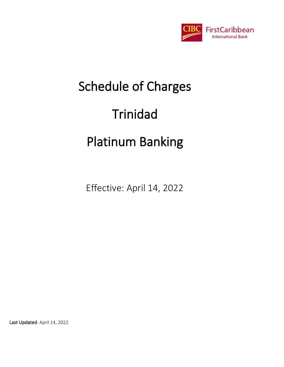

# Schedule of Charges Trinidad

# Platinum Banking

Effective: April 14, 2022

Last Updated: April 14, 2022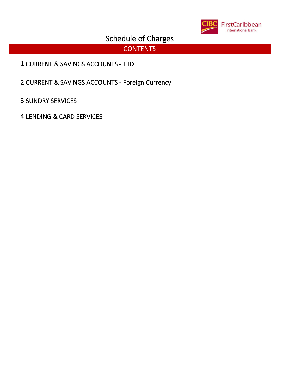

# **CONTENTS**

- CURRENT & SAVINGS ACCOUNTS TTD
- CURRENT & SAVINGS ACCOUNTS Foreign Currency
- SUNDRY SERVICES
- LENDING & CARD SERVICES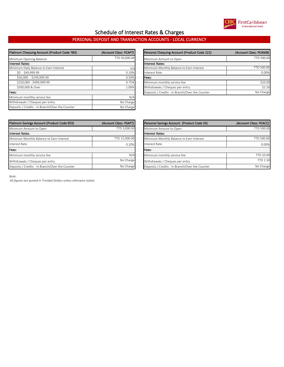

### Schedule of Interest Rates & Charges

#### PERSONAL DEPOSIT AND TRANSACTION ACCOUNTS - LOCAL CURRENCY

| Platinum Chequing Account (Product Code 783)    | (Account Class: PCAPT) | Personal Chequing Account (Product Code 121)    | (Account Class: PCANIB) |
|-------------------------------------------------|------------------------|-------------------------------------------------|-------------------------|
| Minimum Opening Balance                         | TTD 50,000.00          | Minimum Amount to Open                          | TTD 500.00              |
| Interest Rates:                                 |                        | linterest Rates:                                |                         |
| Minimum Daily Balance to Earn Interest          | n/a                    | Minimum Monthly Balance to Earn Interest        | TTD 500.00              |
| $$0 - $49,999.99$                               | 0.10%                  | <b>Interest Rate</b>                            | 0.00%                   |
| \$50,000 - \$249,999.99                         | 0.50%                  | lFees:                                          |                         |
| \$250,000 - \$499,999.99                        | 0.75%                  | Minimum monthly service fee                     | \$10.00                 |
| \$500,000 & Over                                | 1.00%                  | Withdrawals / Cheques per entry                 | \$1.50                  |
| Fees:                                           |                        | Deposits / Credits - In Branch/Over the Counter | No Charge               |
| Minimum monthly service fee                     | N/A                    |                                                 |                         |
| Withdrawals / Cheques per entry                 | No Charge              |                                                 |                         |
| Deposits / Credits - In Branch/Over the Counter | No Charge              |                                                 |                         |

| um Chequing Account (Product Code 783) | (Account Class: PCAPT) | Personal Chequing Account (Product Code 121)    | (Account Class: PCANIB) |
|----------------------------------------|------------------------|-------------------------------------------------|-------------------------|
| num Opening Balance                    | TTD 50,000.00          | Minimum Amount to Open                          | TTD 500.00              |
| est Rates:                             |                        | <b>Interest Rates:</b>                          |                         |
| num Daily Balance to Earn Interest     | n/al                   | Minimum Monthly Balance to Earn Interest        | TTD 500.00              |
| \$0 - \$49,999.99                      | 0.10%                  | Interest Rate                                   | 0.00%                   |
| \$50,000 - \$249,999.99                | 0.50%                  | lFees:                                          |                         |
| \$250,000 - \$499,999.99               | 0.75%                  | Minimum monthly service fee                     | \$10.00                 |
| \$500,000 & Over                       | 1.00%                  | Withdrawals / Cheques per entry                 | \$1.50                  |
|                                        |                        | Deposits / Credits - In Branch/Over the Counter | No Charge               |
|                                        |                        |                                                 |                         |

| Platinum Savings Account (Product Code 953)     | (Account Class: PSAPT) | Personal Savings Account (Product Code 33)      | (Account Class: PCACC) |
|-------------------------------------------------|------------------------|-------------------------------------------------|------------------------|
| Minimum Amount to Open                          | TTD 3,000.00           | Minimum Amount to Open                          | TTD 500.00             |
| Interest Rates:                                 |                        | Interest Rates:                                 |                        |
| Minimum Monthly Balance to Earn Interest        | TTD 15,000.00          | Minimum Monthly Balance to Earn Interest        | <b>TTD 500.00</b>      |
| Interest Rate                                   | 0.20%                  | <b>Interest Rate</b>                            | 0.00%                  |
| Fees:                                           |                        | <b>Fees:</b>                                    |                        |
| Minimum monthly service fee                     | N/A                    | Minimum monthly service fee                     | <b>TTD 10.00</b>       |
| Withdrawals / Cheques per entry                 | No Charge              | Withdrawals / Cheques per entry                 | <b>TTD 1.50</b>        |
| Deposits / Credits - In Branch/Over the Counter | No Charge              | Deposits / Credits - In Branch/Over the Counter | No Charge              |

| Platinum Savings Account (Product Code 953)     | (Account Class: PSAPT) | Personal Savings Account (Product Code 33)      | (Account Class: PCACC) |
|-------------------------------------------------|------------------------|-------------------------------------------------|------------------------|
| Minimum Amount to Open                          | TTD 3.000.00           | Minimum Amount to Open                          | TTD 500.00             |
| Interest Rates:                                 |                        | linterest Rates:                                |                        |
| Minimum Monthly Balance to Earn Interest        | TTD 15,000.00          | Minimum Monthly Balance to Earn Interest        | TTD 500.00             |
| Interest Rate                                   | 0.20%                  | Interest Rate                                   | 0.00%                  |
| Fees:                                           |                        | lFees:                                          |                        |
| Minimum monthly service fee                     | N/A                    | Minimum monthly service fee                     | <b>TTD 10.00</b>       |
| Withdrawals / Cheques per entry                 | No Charge              | Withdrawals / Cheques per entry                 | <b>TTD 1.50</b>        |
| Deposits / Credits - In Branch/Over the Counter | No Charge              | Deposits / Credits - In Branch/Over the Counter | No Charge              |
|                                                 |                        |                                                 |                        |

*Note:*

 *All figures are quoted in Trinidad Dollars unless otherwise stated.*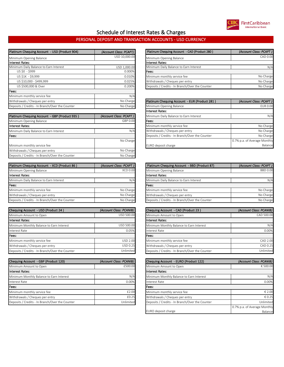

#### Schedule of Interest Rates & Charges

#### PERSONAL DEPOSIT AND TRANSACTION ACCOUNTS - USD CURRENCY

| Platinum Chequing Account - USD (Product 904)   | (Account Class: PCAPT) | Platinum Chequing Account - CAD (Product 280)   | (Account Class: PCAPT) |
|-------------------------------------------------|------------------------|-------------------------------------------------|------------------------|
| Minimum Opening Balance                         | USD 10,000.00          | Minimum Opening Balance                         | CAD 0.00               |
| <b>Interest Rates:</b>                          |                        | <b>Interest Rates:</b>                          |                        |
| Minimum Daily Balance to Earn Interest          | USD 1,000.00           | Minimum Daily Balance to Earn Interest          | N/4                    |
| US \$0 - \$999                                  | 0.000%                 | Fees:                                           |                        |
| US \$1K - \$9,999                               | 0.010%                 | Minimum monthly service fee                     | No Charge              |
| US \$10,000 - \$499,999                         | 0.025%                 | Withdrawals / Cheques per entry                 | No Charge              |
| US \$500,000 & Over                             | 0.200%                 | Deposits / Credits - In Branch/Over the Counter | No Charge              |
| Fees:                                           |                        |                                                 |                        |
| Minimum monthly service fee                     | N/A                    |                                                 |                        |
| Withdrawals / Cheques per entry                 | No Charge              | Platinum Chequing Account - EUR (Product 281)   | (Account Class: PCAPT) |
| Deposits / Credits - In Branch/Over the Counter | No Charge              | Minimum Opening Balance                         | <b>EUR 0.00</b>        |

| Platinum Chequing Account - GBP (Product 935)   | (Account Class: PCAPT) |
|-------------------------------------------------|------------------------|
| Minimum Opening Balance                         | GBP 0.00               |
| <b>Interest Rates:</b>                          |                        |
| Minimum Daily Balance to Earn Interest          | N/A                    |
| Fees:                                           |                        |
|                                                 | No Charge              |
| Minimum monthly service fee                     |                        |
| Withdrawals / Cheques per entry                 | No Charge              |
| Deposits / Credits - In Branch/Over the Counter | No Charge              |

| Platinum Chequing Account - XCD (Product 86)    | (Account Class: PCAPT) | <b>Platinum Cheo</b>   |
|-------------------------------------------------|------------------------|------------------------|
| Minimum Opening Balance                         | <b>XCD 0.00</b>        | Minimum Oper           |
| Interest Rates:                                 |                        | <b>Interest Rates:</b> |
| Minimum Daily Balance to Earn Interest          | N/A                    | Minimum Daily          |
| Fees:                                           |                        | Fees:                  |
| Minimum monthly service fee                     | No Charge              | Minimum mon            |
| Withdrawals / Cheques per entry                 | No Charge              | Withdrawals /          |
| Deposits / Credits - In Branch/Over the Counter | No Charge              | Deposits / Crec        |

| Chequing Account - USD (Product 24)             | (Account Class: PCANIB) | <b>Chequing Acco</b> |
|-------------------------------------------------|-------------------------|----------------------|
| Minimum Amount to Open                          | USD 500.00              | Minimum Amo          |
| Interest Rates:                                 |                         | Interest Rates:      |
| Minimum Monthly Balance to Earn Interest        | USD 500.00              | Minimum Mon          |
| <b>Interest Rate</b>                            | 0.05%                   | <b>Interest Rate</b> |
| Fees:                                           |                         | Fees:                |
| Minimum monthly service fee                     | <b>USD 2.00</b>         | Minimum mon          |
| Withdrawals / Cheques per entry                 | <b>USD 0.25</b>         | Withdrawals /        |
| Deposits / Credits - In Branch/Over the Counter | Unlimited               | Deposits / Crec      |

| Chequing Account - GBP (Product 120)            | (Account Class: PCANIB) | <b>Chequing Acco</b>   |
|-------------------------------------------------|-------------------------|------------------------|
| Minimum Amount to Open                          | £500.00                 | Minimum Amo            |
| <b>Interest Rates:</b>                          |                         | <b>Interest Rates:</b> |
| Minimum Monthly Balance to Earn Interest        | N/A                     | Minimum Mon            |
| <b>Interest Rate</b>                            | 0.00%                   | <b>Interest Rate</b>   |
| Fees:                                           |                         | Fees:                  |
| Minimum monthly service fee                     | £2.00                   | Minimum mon            |
| Withdrawals / Cheques per entry                 | £0.25                   | Withdrawals / (        |
| Deposits / Credits - In Branch/Over the Counter | Unlimited               | Deposits / Crec        |

| Platinum Chequing Account - USD (Product 904) | (Account Class: PCAPT) | Platinum Chequing Account - CAD (Product 280)   | (Account Class: PCAPT) |
|-----------------------------------------------|------------------------|-------------------------------------------------|------------------------|
| Minimum Opening Balance                       | USD 10.000.00          | Minimum Opening Balance                         | CAD 0.00               |
| <b>Interest Rates:</b>                        |                        | Interest Rates:                                 |                        |
| Minimum Daily Balance to Earn Interest        | USD 1,000.00           | Minimum Daily Balance to Earn Interest          | N/A                    |
| US \$0 - \$999                                | 0.000%                 | Fees:                                           |                        |
| US \$1K - \$9,999                             | 0.010%                 | Minimum monthly service fee                     | No Charge              |
| US \$10,000 - \$499,999                       | 0.025%                 | Withdrawals / Cheques per entry                 | No Charge              |
| US \$500,000 & Over                           | 0.200%                 | Deposits / Credits - In Branch/Over the Counter | No Charge              |

| Withdrawals / Cheques per entry                 | No Charge              | Platinum Chequing Account - EUR (Product 281)   | (Account Class: PCAPT)       |
|-------------------------------------------------|------------------------|-------------------------------------------------|------------------------------|
| Deposits / Credits - In Branch/Over the Counter | No Charge              | Minimum Opening Balance                         | <b>EUR 0.00</b>              |
|                                                 |                        | Interest Rates:                                 |                              |
| Platinum Chequing Account - GBP (Product 935)   | (Account Class: PCAPT) | Minimum Daily Balance to Earn Interest          | N/A                          |
| Minimum Opening Balance                         | GBP 0.00               | lFees:                                          |                              |
| <b>Interest Rates:</b>                          |                        | Minimum monthly service fee                     | No Charge                    |
| Minimum Daily Balance to Earn Interest          | N/A                    | Withdrawals / Cheques per entry                 | No Charge                    |
| Fees:                                           |                        | Deposits / Credits - In Branch/Over the Counter | No Charge                    |
|                                                 | No Charge              |                                                 | 0.7% p.a. of Average Monthly |
| Minimum monthly service fee                     |                        | EURO deposit charge                             | Balance                      |

| Platinum Chequing Account - XCD (Product 86)    | (Account Class: PCAPT) | Platinum Chequing Account - BBD (Product 87)    | (Account Class: PCAPT) |
|-------------------------------------------------|------------------------|-------------------------------------------------|------------------------|
| Minimum Opening Balance                         | <b>XCD 0.00</b>        | Minimum Opening Balance                         | <b>BBD 0.00</b>        |
| <b>Interest Rates:</b>                          |                        | <b>Interest Rates:</b>                          |                        |
| Minimum Daily Balance to Earn Interest          | N/A                    | Minimum Daily Balance to Earn Interest          | N/A                    |
| Fees:                                           |                        | lFees:                                          |                        |
| Minimum monthly service fee                     | No Charge              | Minimum monthly service fee                     | No Charge              |
| Withdrawals / Cheques per entry                 | No Charge              | Withdrawals / Cheques per entry                 | No Charge              |
| Deposits / Credits - In Branch/Over the Counter | No Charge              | Deposits / Credits - In Branch/Over the Counter | No Charge              |

| Chequing Account - USD (Product 24)             | (Account Class: PCANIB) | Chequing Account - CAD (Product 23)<br>(Account Class: PCANIB) |            |  |
|-------------------------------------------------|-------------------------|----------------------------------------------------------------|------------|--|
| Minimum Amount to Open                          | USD 500.00              | Minimum Amount to Open                                         | CAD 500.00 |  |
| Interest Rates:                                 |                         | Interest Rates:                                                |            |  |
| Minimum Monthly Balance to Earn Interest        | USD 500.00              | Minimum Monthly Balance to Earn Interest                       | N/A        |  |
| Interest Rate                                   | 0.05%                   | Interest Rate                                                  | 0.00%      |  |
| Fees:                                           |                         | Fees:                                                          |            |  |
| Minimum monthly service fee                     | <b>USD 2.00</b>         | Minimum monthly service fee                                    | CAD 2.00   |  |
| Withdrawals / Cheques per entry                 | USD 0.25                | Withdrawals / Cheques per entry                                | CAD 0.25   |  |
| Deposits / Credits - In Branch/Over the Counter | Unlimited               | Deposits / Credits - In Branch/Over the Counter                | Unlimited  |  |

| Chequing Account - GBP (Product 120)            | (Account Class: PCANIB) | Chequing Account - EURO (Product 122)           | (Account Class: PCANIB)      |  |  |
|-------------------------------------------------|-------------------------|-------------------------------------------------|------------------------------|--|--|
| Minimum Amount to Open                          | £500.00                 | Minimum Amount to Open                          |                              |  |  |
| <b>Interest Rates:</b>                          |                         | <b>Interest Rates:</b>                          |                              |  |  |
| Minimum Monthly Balance to Earn Interest        | N/A                     | Minimum Monthly Balance to Earn Interest        | N/A                          |  |  |
| Interest Rate                                   | 0.00%                   | Interest Rate                                   | 0.00%                        |  |  |
| Fees:                                           |                         | Fees:                                           |                              |  |  |
| Minimum monthly service fee                     | £2.00                   | Minimum monthly service fee                     | € 2.00                       |  |  |
| Withdrawals / Cheques per entry                 | £0.25                   | Withdrawals / Cheques per entry                 | € 0.25                       |  |  |
| Deposits / Credits - In Branch/Over the Counter | Unlimited               | Deposits / Credits - In Branch/Over the Counter | Unlimited                    |  |  |
|                                                 |                         |                                                 | 0.7% p.a. of Average Monthly |  |  |
|                                                 |                         | EURO deposit charge                             | Balance                      |  |  |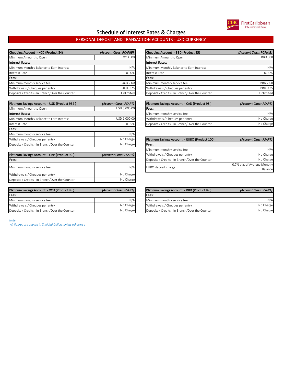

### Schedule of Interest Rates & Charges

#### PERSONAL DEPOSIT AND TRANSACTION ACCOUNTS - USD CURRENCY

| Chequing Account - XCD (Product 84)             | (Account Class: PCANIB) | Chequing Account - BBD (Product 85)             | (Account Class: PCANIB) |  |
|-------------------------------------------------|-------------------------|-------------------------------------------------|-------------------------|--|
| Minimum Amount to Open                          | <b>XCD 500</b>          | Minimum Amount to Open                          | <b>BBD 500</b>          |  |
| Interest Rates:                                 |                         | Interest Rates:                                 |                         |  |
| Minimum Monthly Balance to Earn Interest        | N/A                     | Minimum Monthly Balance to Earn Interest        | N/4                     |  |
| Interest Rate                                   | 0.00%                   | Interest Rate                                   | 0.00%                   |  |
| Fees:                                           |                         | <b>IFees:</b>                                   |                         |  |
| Minimum monthly service fee                     | <b>XCD 2.00</b>         | Minimum monthly service fee                     | BBD 2.00                |  |
| Withdrawals / Cheques per entry                 | <b>XCD 0.25</b>         | Withdrawals / Cheques per entry                 | BBD 0.25                |  |
| Deposits / Credits - In Branch/Over the Counter | Unlimited               | Deposits / Credits - In Branch/Over the Counter | Unlimited               |  |

| Platinum Savings Account - USD (Product 952)    | (Account Class: PSAPT) |
|-------------------------------------------------|------------------------|
| Minimum Amount to Open                          | USD 3,000.00           |
| <b>Interest Rates:</b>                          |                        |
| Minimum Monthly Balance to Earn Interest        | USD 1,000.00           |
| Interest Rate                                   | 0.05%                  |
| Fees:                                           |                        |
| Minimum monthly service fee                     | N/A                    |
| Withdrawals / Cheques per entry                 | No Charge              |
| Deposits / Credits - In Branch/Over the Counter | No Charge              |

| Platinum Savings Account - GBP (Product 99)     | (Account Class: PSAPT) | Withdrawals / Chegu     |
|-------------------------------------------------|------------------------|-------------------------|
| Fees:                                           |                        | Deposits / Credits - Ir |
| Minimum monthly service fee                     | N/A                    | EURO deposit charge     |
| Withdrawals / Cheques per entry                 | No Charge              |                         |
| Deposits / Credits - In Branch/Over the Counter | No Charge              |                         |

| Platinum Savings Account - XCD (Product 88)     | (Account Class: PSAPT) | Platir |
|-------------------------------------------------|------------------------|--------|
| Fees:                                           |                        | Fees:  |
| Minimum monthly service fee                     | N/A                    | Minir  |
| Withdrawals / Cheques per entry                 | No Charge              | With   |
| Deposits / Credits - In Branch/Over the Counter | No Charge              | Depo   |

| Chequing Account - XCD (Product 84)             | (Account Class: PCANIB) | Chequing Account - BBD (Product 85)             | (Account Class: PCANIB) |
|-------------------------------------------------|-------------------------|-------------------------------------------------|-------------------------|
| Minimum Amount to Open                          | <b>XCD 500</b>          | Minimum Amount to Open                          | <b>BBD 500</b>          |
| Interest Rates:                                 |                         | <b>Interest Rates:</b>                          |                         |
| Minimum Monthly Balance to Earn Interest        | N/A                     | Minimum Monthly Balance to Earn Interest        | N/A                     |
| Interest Rate                                   | 0.00%                   | Interest Rate                                   | 0.00%                   |
| Fees:                                           |                         | lFees:                                          |                         |
| Minimum monthly service fee                     | <b>XCD 2.00</b>         | Minimum monthly service fee                     | <b>BBD 2.00</b>         |
| Withdrawals / Cheques per entry                 | <b>XCD 0.25</b>         | Withdrawals / Cheques per entry                 | BBD 0.25                |
| Deposits / Credits - In Branch/Over the Counter | Unlimited               | Deposits / Credits - In Branch/Over the Counter | Unlimited               |

| Platinum Savings Account - USD (Product 952) | (Account Class: PSAPT) |       | Platinum Savings Account - CAD (Product 98)<br>(Account Class: PSAPT) |           |  |
|----------------------------------------------|------------------------|-------|-----------------------------------------------------------------------|-----------|--|
| Minimum Amount to Open                       | USD 3.000.00           | Fees: |                                                                       |           |  |
| <b>Interest Rates:</b>                       |                        |       | Minimum monthly service fee                                           | N/A       |  |
| Minimum Monthly Balance to Earn Interest     | USD 1,000.00           |       | Withdrawals / Cheques per entry                                       | No Charge |  |
| Interest Rate                                | 0.05%                  |       | Deposits / Credits - In Branch/Over the Counter                       | No Charge |  |

| Withdrawals / Cheques per entry                                       | No Charge |  | Platinum Savings Account - EURO (Product 100)   | (Account Class: PSAPT)       |
|-----------------------------------------------------------------------|-----------|--|-------------------------------------------------|------------------------------|
| Deposits / Credits - In Branch/Over the Counter                       | No Charge |  | Fees:                                           |                              |
|                                                                       |           |  | Minimum monthly service fee                     | N/A                          |
| (Account Class: PSAPT)<br>Platinum Savings Account - GBP (Product 99) |           |  | Withdrawals / Cheques per entry                 | No Charge                    |
| Fees:                                                                 |           |  | Deposits / Credits - In Branch/Over the Counter | No Charge                    |
| Minimum monthly service fee                                           | N/A       |  | EURO deposit charge                             | 0.7% p.a. of Average Monthly |
|                                                                       |           |  |                                                 | Balance                      |

| Platinum Savings Account - XCD (Product 88)     | (Account Class: PSAPT) | Platinum Savings Account - BBD (Product 89)     | (Account Class: PSAPT) |  |
|-------------------------------------------------|------------------------|-------------------------------------------------|------------------------|--|
| Fees:                                           |                        | Fees:                                           |                        |  |
| Minimum monthly service fee                     | N/A                    | Minimum monthly service fee                     | N/A                    |  |
| Withdrawals / Cheques per entry                 | No Charge              | Withdrawals / Cheques per entry                 | No Charge              |  |
| Deposits / Credits - In Branch/Over the Counter | No Charge              | Deposits / Credits - In Branch/Over the Counter | No Charge              |  |

*Note:*

 *All figures are quoted in Trinidad Dollars unless otherwise*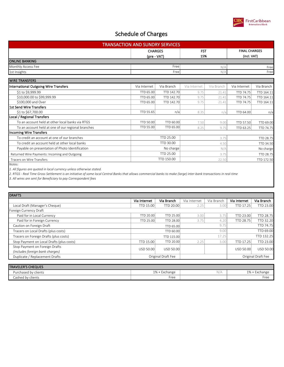

| <b>TRANSACTION AND SUNDRY SERVICES</b>             |                  |                                                    |              |            |                                     |            |  |
|----------------------------------------------------|------------------|----------------------------------------------------|--------------|------------|-------------------------------------|------------|--|
|                                                    |                  | <b>CHARGES</b><br><b>FST</b><br>15%<br>(pre - VAT) |              |            | <b>FINAL CHARGES</b><br>(incl. VAT) |            |  |
| <b>ONLINE BANKING</b>                              |                  |                                                    |              |            |                                     |            |  |
| Monthly Access Fee                                 |                  | Free                                               |              | N/A        | Free                                |            |  |
| 1st Insights                                       |                  | Free                                               |              | N/A        |                                     | Free       |  |
| <b>WIRE TRANSFERS</b>                              |                  |                                                    |              |            |                                     |            |  |
| <b>International Outgoing Wire Transfers</b>       | Via Internet     | Via Branch                                         | Via Internet | Via Branch | Via Internet                        | Via Branch |  |
| \$1 to \$9,999.99                                  | TTD 65.00        | TTD 142.70                                         | 9.75         | 21.41      | <b>TTD 74.75</b>                    | TTD 164.11 |  |
| \$10,000.00 to \$99,999.99                         | TTD 65.00        | TTD 142.70                                         | 9.75         | 21.41      | <b>TTD 74.75</b>                    | TTD 164.11 |  |
| \$100,000 and Over                                 | TTD 65.00        | TTD 142.70                                         | 9.75         | 21.41      | <b>TTD 74.75</b>                    | TTD 164.11 |  |
| <b>1st Send Wire Transfers</b>                     |                  |                                                    |              |            |                                     |            |  |
| \$1 to \$67,700.00                                 | TTD 55.65        | n/a                                                | 8.35         | n/a        | TTD 64.00                           | n/a        |  |
| Local / Regional Transfers                         |                  |                                                    |              |            |                                     |            |  |
| To an account held at other local banks via RTGS   | <b>TTD 50.00</b> | TTD 60.00                                          | 7.50         | 9.00       | TTD 57.50                           | TTD 69.00  |  |
| To an account held at one of our regional branches | <b>TTD 55.00</b> | TTD 65.00                                          | 8.25         | 9.75       | TTD 63.25                           | TTD 74.75  |  |
| <b>Incoming Wire Transfers</b>                     |                  |                                                    |              |            |                                     |            |  |
| To credit an account at one of our branches        | TTD 25.00        |                                                    | 3.75         |            | <b>TTD 28.75</b>                    |            |  |
| To credit an account held at other local banks     | TTD 30.00        |                                                    | 4.50         |            | TTD 34.50                           |            |  |
| Payable on presentation of Photo Identification    |                  | No charge                                          | N/A          |            | No charge                           |            |  |
| Returned Wire Payments: Incoming and Outgoing      |                  | <b>TTD 25.00</b>                                   | 3.75         |            | TTD 28.75                           |            |  |
| Tracers on Wire Transfers                          |                  | TTD 150.00                                         | 22.50        |            | TTD 172.50                          |            |  |
| Notes:                                             |                  |                                                    |              |            |                                     |            |  |

*1. All figures are quoted in local currency unless otherwise stated.*

*2. RTGS - Real Time Gross Settlement is an initiative of some local Central Banks that allows commercial banks to make (large) inter-bank transactions in real-time*

*3. All wires are sent for Beneficiary to pay Correspondent fees*

| <b>DRAFTS</b>                             |                  |                    |              |            |              |                    |
|-------------------------------------------|------------------|--------------------|--------------|------------|--------------|--------------------|
|                                           | Via Internet     | Via Branch         | Via Internet | Via Branch | Via Internet | Via Branch         |
| Local Draft (Manager's Cheque)            | TTD 15.00        | <b>TTD 20.00</b>   | 2.25         | 3.00       | TTD 17.25    | TTD 23.00          |
| Foreign Currency Draft                    |                  |                    |              |            |              |                    |
| Paid for in Local Currency                | <b>TTD 20.00</b> | <b>TTD 25.00</b>   | 3.00         | 3.75       | TTD 23.00    | <b>TTD 28.75</b>   |
| Paid for in Foreign Currency              | <b>TTD 25.00</b> | <b>TTD 28.00</b>   | 3.75         | 4.20       | TTD 28.75    | TTD 32.20          |
| Caution on Foreign Draft                  |                  | <b>TTD 65.00</b>   | 9.75         |            |              | <b>TTD 74.75</b>   |
| Tracers on Local Drafts (plus costs)      |                  | <b>TTD 60.00</b>   | 9.00         |            |              | TTD 69.00          |
| Tracers on Foreign Drafts (plus costs)    |                  | TTD 115.00         |              | 17.25      |              | TTD 132.25         |
| Stop Payment on Local Drafts (plus costs) | TTD 15.00        | <b>TTD 20.00</b>   | 2.25         | 3.00       | TTD 17.25    | TTD 23.00          |
| Stop Payment on Foreign Drafts            | USD 50.00        | USD 50.00          |              |            | USD 50.00    | <b>USD 50.00</b>   |
| (includes foreign bank charges)           |                  |                    |              |            |              |                    |
| Duplicate / Replacement Drafts            |                  | Original Draft Fee |              |            |              | Original Draft Fee |

| <b>TRAVELER'S CHEQUES</b> |                            |     |                               |
|---------------------------|----------------------------|-----|-------------------------------|
| Purchased by clients      | 10/<br>Exchange<br>$170 +$ | N/A | 1%<br>طحنت<br><b>CXCHANGE</b> |
| Cashed by clients         | Free                       |     | Free                          |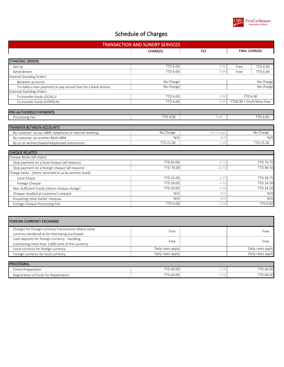

| <b>TRANSACTION AND SUNDRY SERVICES</b> |                                                                                                                                                        |                                                                                 |  |  |
|----------------------------------------|--------------------------------------------------------------------------------------------------------------------------------------------------------|---------------------------------------------------------------------------------|--|--|
| <b>CHARGES</b>                         | <b>FST</b>                                                                                                                                             | <b>FINAL CHARGES</b>                                                            |  |  |
|                                        |                                                                                                                                                        |                                                                                 |  |  |
| <b>TTD 6.00</b>                        | 0.90                                                                                                                                                   | TTD 6.90<br>Free                                                                |  |  |
| <b>TTD 6.00</b>                        | 0.90                                                                                                                                                   | <b>TTD 6.90</b><br>Free                                                         |  |  |
|                                        |                                                                                                                                                        |                                                                                 |  |  |
| No Charge                              |                                                                                                                                                        | No Charge                                                                       |  |  |
| No Charge                              |                                                                                                                                                        | No Charge                                                                       |  |  |
|                                        |                                                                                                                                                        |                                                                                 |  |  |
| <b>TTD 6.00</b>                        | 0.90                                                                                                                                                   | <b>TTD 6.90</b>                                                                 |  |  |
| <b>TTD 6.00</b>                        | 0.90                                                                                                                                                   | TTD6.90 + Draft/Wire Fees                                                       |  |  |
|                                        |                                                                                                                                                        |                                                                                 |  |  |
| <b>TTD 4.00</b>                        | 0.60                                                                                                                                                   | <b>TTD 4.60</b>                                                                 |  |  |
|                                        |                                                                                                                                                        |                                                                                 |  |  |
|                                        |                                                                                                                                                        | No Charge                                                                       |  |  |
|                                        |                                                                                                                                                        | N/A                                                                             |  |  |
|                                        |                                                                                                                                                        | TTD 25.30                                                                       |  |  |
|                                        |                                                                                                                                                        |                                                                                 |  |  |
|                                        |                                                                                                                                                        |                                                                                 |  |  |
|                                        |                                                                                                                                                        | TTD 74.75                                                                       |  |  |
|                                        |                                                                                                                                                        | TTD 80.50                                                                       |  |  |
|                                        |                                                                                                                                                        |                                                                                 |  |  |
|                                        |                                                                                                                                                        | TTD 28.75                                                                       |  |  |
|                                        |                                                                                                                                                        | TTD 34.50                                                                       |  |  |
|                                        |                                                                                                                                                        | TTD 34.50                                                                       |  |  |
|                                        |                                                                                                                                                        | N/A                                                                             |  |  |
|                                        |                                                                                                                                                        | N/A                                                                             |  |  |
|                                        |                                                                                                                                                        | <b>TTD 0.00</b>                                                                 |  |  |
| <b>TTD 0.00</b>                        | 0.00                                                                                                                                                   |                                                                                 |  |  |
|                                        |                                                                                                                                                        |                                                                                 |  |  |
| Free                                   |                                                                                                                                                        | Free                                                                            |  |  |
|                                        |                                                                                                                                                        |                                                                                 |  |  |
| Free                                   |                                                                                                                                                        | Free                                                                            |  |  |
|                                        |                                                                                                                                                        | Daily rates apply                                                               |  |  |
|                                        |                                                                                                                                                        | Daily rates apply                                                               |  |  |
|                                        | No Charge<br>N/A<br>TTD 22.00<br>TTD 65.00<br>TTD 70.00<br>TTD 25.00<br>TTD 30.00<br>TTD 30.00<br>N/A<br>N/A<br>Daily rates apply<br>Daily rates apply | No Charge<br>N/A<br>3.30<br>9.75<br>10.50<br>3.75<br>4.50<br>4.50<br>N/A<br>N/A |  |  |

| <b>PROCESSING,</b>                     |                        |                 |          |
|----------------------------------------|------------------------|-----------------|----------|
| Preparation<br>Forms                   | TD 60.00<br><b>TTD</b> | ⌒<br>⊶.<br>Y.UU | TD 69.00 |
| Registration of funds for Repatriation | TD 60.00<br><b>TTN</b> | Y.UU            | TD 69.00 |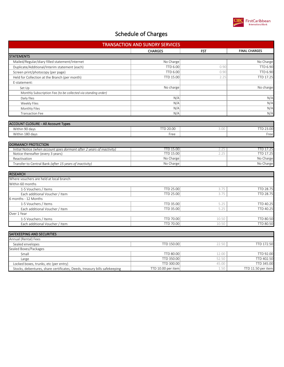

| <b>TRANSACTION AND SUNDRY SERVICES</b>                                    |                    |            |                      |  |
|---------------------------------------------------------------------------|--------------------|------------|----------------------|--|
|                                                                           | <b>CHARGES</b>     | <b>FST</b> | <b>FINAL CHARGES</b> |  |
| <b>STATEMENTS</b>                                                         |                    |            |                      |  |
| Mailed/Regular/diary filled statement/Internet                            | No Charge          |            | No Charge            |  |
| Duplicate/Additional/Interim statement (each)                             | TTD 6.00           | 0.90       | TTD 6.90             |  |
| Screen print/photocopy (per page)                                         | <b>TTD 6.00</b>    | 0.90       | <b>TTD 6.90</b>      |  |
| Held for Collection at the Branch (per month)                             | TTD 15.00          | 2.25       | TTD 17.25            |  |
| E-statement:                                                              |                    |            |                      |  |
| Set Up                                                                    | No charge          |            | No charge            |  |
| Monthly Subscription Fee (to be collected via standing order)             |                    |            |                      |  |
| Daily files                                                               | N/A                |            | N/A                  |  |
| Weekly Files                                                              | N/A                |            | N/A                  |  |
| Monthly Files                                                             | N/A                |            | N/A                  |  |
| <b>Transaction Fee</b>                                                    | N/A                |            | N/A                  |  |
|                                                                           |                    |            |                      |  |
| <b>ACCOUNT CLOSURE - All Account Types</b>                                |                    |            |                      |  |
| Within 90 days                                                            | TTD 20.00          | 3.00       | TTD 23.00            |  |
| Within 180 days                                                           | Free               |            | Free                 |  |
|                                                                           |                    |            |                      |  |
| <b>DORMANCY PROTECTION</b>                                                |                    |            |                      |  |
| Initial Notice (when account goes dormant after 2 years of inactivity)    | TTD 15.00          | 2.25       | TTD 17.25            |  |
| Notice thereafter (every 3 years)                                         | TTD 15.00          | 2.25       | TTD 17.25            |  |
| Reactivation                                                              | No Charge          |            | No Charge            |  |
| Transfer to Central Bank (after 15 years of inactivity)                   | No Charge          |            | No Charge            |  |
|                                                                           |                    |            |                      |  |
| <b>RESEARCH</b>                                                           |                    |            |                      |  |
| Where vouchers are held at local branch                                   |                    |            |                      |  |
| Within 60 months                                                          |                    |            |                      |  |
| 1-5 Vouchers / Items                                                      | TTD 25.00          | 3.75       | TTD 28.75            |  |
| Each additional Voucher / Item                                            | TTD 25.00          | 3.75       | TTD 28.75            |  |
| 6 months - 12 Months                                                      |                    |            |                      |  |
| 1-5 Vouchers / Items                                                      | TTD 35.00          | 5.25       | TTD 40.25            |  |
| Each additional Voucher / Item                                            | TTD 35.00          | 5.25       | TTD 40.25            |  |
| Over 1 Year                                                               |                    |            |                      |  |
| 1-5 Vouchers / Items                                                      | TTD 70.00          | 10.50      | TTD 80.50            |  |
| Each additional Voucher / Item                                            | <b>TTD 70.00</b>   | 10.50      | TTD 80.50            |  |
|                                                                           |                    |            |                      |  |
| <b>SAFEKEEPING AND SECURITIES</b>                                         |                    |            |                      |  |
| Annual (Rental) Fees                                                      |                    |            |                      |  |
| Sealed envelopes                                                          | TTD 150.00         | 22.50      | TTD 172.50           |  |
| Sealed Boxes/Packages                                                     |                    |            |                      |  |
| Small                                                                     | TTD 80.00          | 12.00      | TTD 92.00            |  |
| Large                                                                     | TTD 350.00         | 52.50      | TTD 402.50           |  |
| Locked boxes, trunks, etc (per entry)                                     | TTD 300.00         | 45.00      | TTD 345.00           |  |
| Stocks, debentures, share certificates, Deeds, treasury bills safekeeping | TTD 10.00 per item | 1.50       | TTD 11.50 per item   |  |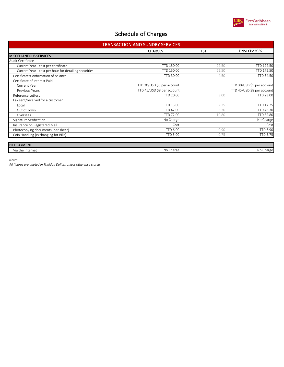

| <b>TRANSACTION AND SUNDRY SERVICES</b>                |                            |            |                            |  |
|-------------------------------------------------------|----------------------------|------------|----------------------------|--|
|                                                       | <b>CHARGES</b>             | <b>FST</b> | <b>FINAL CHARGES</b>       |  |
| <b>MISCELLANEOUS SERVICES</b>                         |                            |            |                            |  |
| Audit Certificate                                     |                            |            |                            |  |
| Current Year - cost per certificate                   | TTD 150.00                 | 22.50      | TTD 172.50                 |  |
| Current Year - cost per hour for detailing securities | TTD 150.00                 | 22.50      | TTD 172.50                 |  |
| Certificate/Confirmation of balance                   | TTD 30.00                  | 4.50       | TTD 34.50                  |  |
| Certificate of interest Paid                          |                            |            |                            |  |
| Current Year                                          | TTD 30/USD \$5 per account |            | TTD 30/USD \$5 per account |  |
| Previous Years                                        | TTD 45/USD \$8 per account |            | TTD 45/USD \$8 per account |  |
| Reference Letters                                     | <b>TTD 20.00</b>           | 3.00       | TTD 23.00                  |  |
| Fax sent/received for a customer                      |                            |            |                            |  |
| Local                                                 | TTD 15.00                  | 2.25       | TTD 17.25                  |  |
| Out of Town                                           | TTD 42.00                  | 6.30       | TTD 48.30                  |  |
| Overseas                                              | TTD 72.00                  | 10.80      | TTD 82.80                  |  |
| Signature verification                                | No Charge                  |            | No Charge                  |  |
| Insurance on Registered Mail                          | Cost                       |            | Cost                       |  |
| Photocopying documents (per sheet)                    | <b>TTD 6.00</b>            | 0.90       | TTD 6.90                   |  |
| Coin Handling (exchanging for Bills)                  | <b>TTD 5.00</b>            | 0.75       | <b>TTD 5.75</b>            |  |
| <b>BILL PAYMENT</b>                                   |                            |            |                            |  |

| <b>I DILL FAIRER.</b><br>___________ |           |              |
|--------------------------------------|-----------|--------------|
| $\sim$<br>'ia the Internet           | NO Charge | Charge<br>ΝO |
|                                      |           |              |

*Notes:*

*All figures are quoted in Trinidad Dollars unless otherwise stated.*